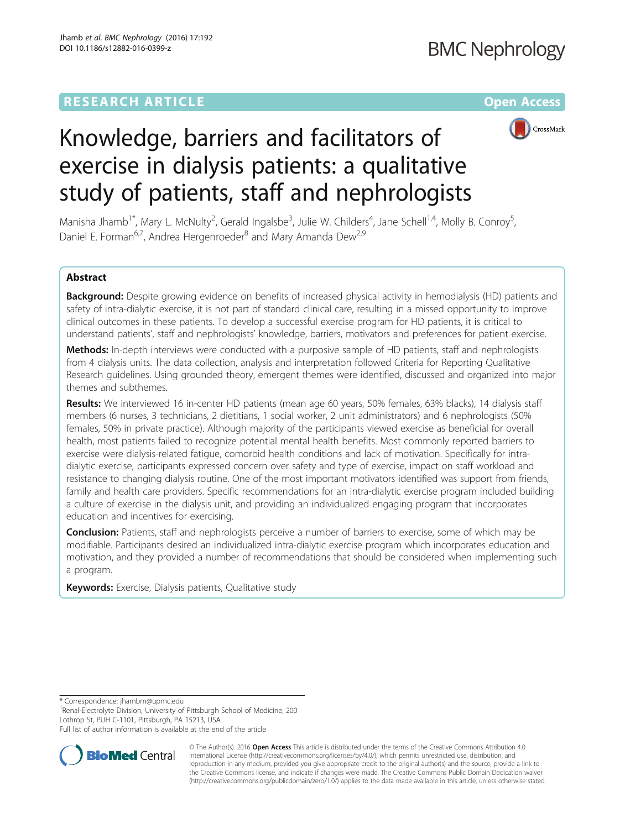## **RESEARCH ARTICLE Example 2014 12:30 The Contract of Contract ACCESS**



# Knowledge, barriers and facilitators of exercise in dialysis patients: a qualitative study of patients, staff and nephrologists

Manisha Jhamb<sup>1\*</sup>, Mary L. McNulty<sup>2</sup>, Gerald Ingalsbe<sup>3</sup>, Julie W. Childers<sup>4</sup>, Jane Schell<sup>1,4</sup>, Molly B. Conroy<sup>5</sup> , Daniel E. Forman<sup>6,7</sup>, Andrea Hergenroeder<sup>8</sup> and Mary Amanda Dew<sup>2,9</sup>

## Abstract

Background: Despite growing evidence on benefits of increased physical activity in hemodialysis (HD) patients and safety of intra-dialytic exercise, it is not part of standard clinical care, resulting in a missed opportunity to improve clinical outcomes in these patients. To develop a successful exercise program for HD patients, it is critical to understand patients', staff and nephrologists' knowledge, barriers, motivators and preferences for patient exercise.

Methods: In-depth interviews were conducted with a purposive sample of HD patients, staff and nephrologists from 4 dialysis units. The data collection, analysis and interpretation followed Criteria for Reporting Qualitative Research guidelines. Using grounded theory, emergent themes were identified, discussed and organized into major themes and subthemes.

Results: We interviewed 16 in-center HD patients (mean age 60 years, 50% females, 63% blacks), 14 dialysis staff members (6 nurses, 3 technicians, 2 dietitians, 1 social worker, 2 unit administrators) and 6 nephrologists (50% females, 50% in private practice). Although majority of the participants viewed exercise as beneficial for overall health, most patients failed to recognize potential mental health benefits. Most commonly reported barriers to exercise were dialysis-related fatigue, comorbid health conditions and lack of motivation. Specifically for intradialytic exercise, participants expressed concern over safety and type of exercise, impact on staff workload and resistance to changing dialysis routine. One of the most important motivators identified was support from friends, family and health care providers. Specific recommendations for an intra-dialytic exercise program included building a culture of exercise in the dialysis unit, and providing an individualized engaging program that incorporates education and incentives for exercising.

**Conclusion:** Patients, staff and nephrologists perceive a number of barriers to exercise, some of which may be modifiable. Participants desired an individualized intra-dialytic exercise program which incorporates education and motivation, and they provided a number of recommendations that should be considered when implementing such a program.

Keywords: Exercise, Dialysis patients, Qualitative study

\* Correspondence: [jhambm@upmc.edu](mailto:jhambm@upmc.edu) <sup>1</sup>

<sup>1</sup> Renal-Electrolyte Division, University of Pittsburgh School of Medicine, 200 Lothrop St, PUH C-1101, Pittsburgh, PA 15213, USA

Full list of author information is available at the end of the article



© The Author(s). 2016 Open Access This article is distributed under the terms of the Creative Commons Attribution 4.0 International License [\(http://creativecommons.org/licenses/by/4.0/](http://creativecommons.org/licenses/by/4.0/)), which permits unrestricted use, distribution, and reproduction in any medium, provided you give appropriate credit to the original author(s) and the source, provide a link to the Creative Commons license, and indicate if changes were made. The Creative Commons Public Domain Dedication waiver [\(http://creativecommons.org/publicdomain/zero/1.0/](http://creativecommons.org/publicdomain/zero/1.0/)) applies to the data made available in this article, unless otherwise stated.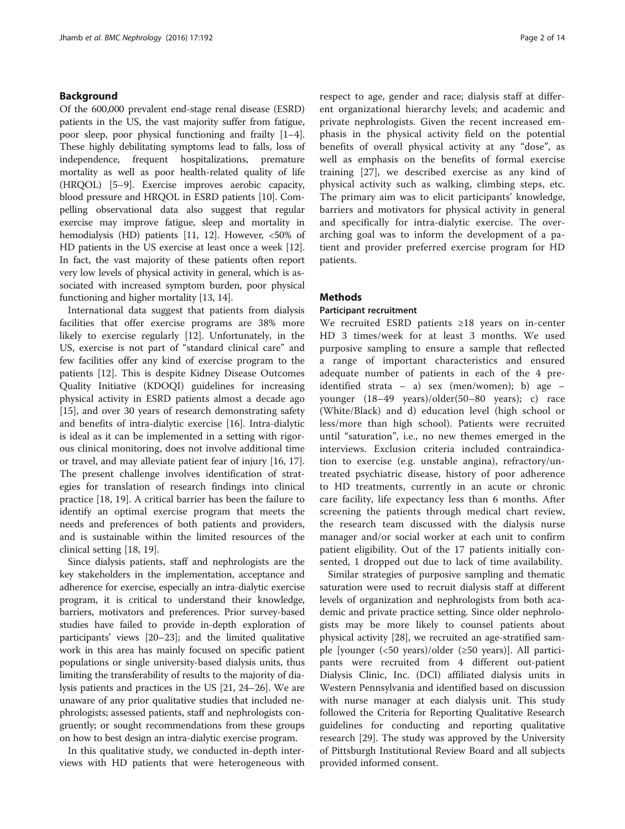## Background

Of the 600,000 prevalent end-stage renal disease (ESRD) patients in the US, the vast majority suffer from fatigue, poor sleep, poor physical functioning and frailty [[1](#page-12-0)–[4](#page-12-0)]. These highly debilitating symptoms lead to falls, loss of independence, frequent hospitalizations, premature mortality as well as poor health-related quality of life (HRQOL) [\[5](#page-12-0)–[9\]](#page-12-0). Exercise improves aerobic capacity, blood pressure and HRQOL in ESRD patients [\[10](#page-12-0)]. Compelling observational data also suggest that regular exercise may improve fatigue, sleep and mortality in hemodialysis (HD) patients [[11](#page-12-0), [12\]](#page-12-0). However, <50% of HD patients in the US exercise at least once a week [[12](#page-12-0)]. In fact, the vast majority of these patients often report very low levels of physical activity in general, which is associated with increased symptom burden, poor physical functioning and higher mortality [[13, 14\]](#page-12-0).

International data suggest that patients from dialysis facilities that offer exercise programs are 38% more likely to exercise regularly [\[12](#page-12-0)]. Unfortunately, in the US, exercise is not part of "standard clinical care" and few facilities offer any kind of exercise program to the patients [\[12\]](#page-12-0). This is despite Kidney Disease Outcomes Quality Initiative (KDOQI) guidelines for increasing physical activity in ESRD patients almost a decade ago [[15\]](#page-12-0), and over 30 years of research demonstrating safety and benefits of intra-dialytic exercise [[16\]](#page-12-0). Intra-dialytic is ideal as it can be implemented in a setting with rigorous clinical monitoring, does not involve additional time or travel, and may alleviate patient fear of injury [[16](#page-12-0), [17](#page-12-0)]. The present challenge involves identification of strategies for translation of research findings into clinical practice [[18, 19\]](#page-12-0). A critical barrier has been the failure to identify an optimal exercise program that meets the needs and preferences of both patients and providers, and is sustainable within the limited resources of the clinical setting [[18, 19](#page-12-0)].

Since dialysis patients, staff and nephrologists are the key stakeholders in the implementation, acceptance and adherence for exercise, especially an intra-dialytic exercise program, it is critical to understand their knowledge, barriers, motivators and preferences. Prior survey-based studies have failed to provide in-depth exploration of participants' views [\[20](#page-12-0)–[23](#page-13-0)]; and the limited qualitative work in this area has mainly focused on specific patient populations or single university-based dialysis units, thus limiting the transferability of results to the majority of dialysis patients and practices in the US [[21](#page-12-0), [24](#page-13-0)–[26\]](#page-13-0). We are unaware of any prior qualitative studies that included nephrologists; assessed patients, staff and nephrologists congruently; or sought recommendations from these groups on how to best design an intra-dialytic exercise program.

In this qualitative study, we conducted in-depth interviews with HD patients that were heterogeneous with

respect to age, gender and race; dialysis staff at different organizational hierarchy levels; and academic and private nephrologists. Given the recent increased emphasis in the physical activity field on the potential benefits of overall physical activity at any "dose", as well as emphasis on the benefits of formal exercise training [[27\]](#page-13-0), we described exercise as any kind of physical activity such as walking, climbing steps, etc. The primary aim was to elicit participants' knowledge, barriers and motivators for physical activity in general and specifically for intra-dialytic exercise. The overarching goal was to inform the development of a patient and provider preferred exercise program for HD patients.

## **Methods**

## Participant recruitment

We recruited ESRD patients ≥18 years on in-center HD 3 times/week for at least 3 months. We used purposive sampling to ensure a sample that reflected a range of important characteristics and ensured adequate number of patients in each of the 4 preidentified strata – a) sex (men/women); b) age – younger (18–49 years)/older(50–80 years); c) race (White/Black) and d) education level (high school or less/more than high school). Patients were recruited until "saturation", i.e., no new themes emerged in the interviews. Exclusion criteria included contraindication to exercise (e.g. unstable angina), refractory/untreated psychiatric disease, history of poor adherence to HD treatments, currently in an acute or chronic care facility, life expectancy less than 6 months. After screening the patients through medical chart review, the research team discussed with the dialysis nurse manager and/or social worker at each unit to confirm patient eligibility. Out of the 17 patients initially consented, 1 dropped out due to lack of time availability.

Similar strategies of purposive sampling and thematic saturation were used to recruit dialysis staff at different levels of organization and nephrologists from both academic and private practice setting. Since older nephrologists may be more likely to counsel patients about physical activity [\[28\]](#page-13-0), we recruited an age-stratified sample [younger (<50 years)/older (≥50 years)]. All participants were recruited from 4 different out-patient Dialysis Clinic, Inc. (DCI) affiliated dialysis units in Western Pennsylvania and identified based on discussion with nurse manager at each dialysis unit. This study followed the Criteria for Reporting Qualitative Research guidelines for conducting and reporting qualitative research [\[29](#page-13-0)]. The study was approved by the University of Pittsburgh Institutional Review Board and all subjects provided informed consent.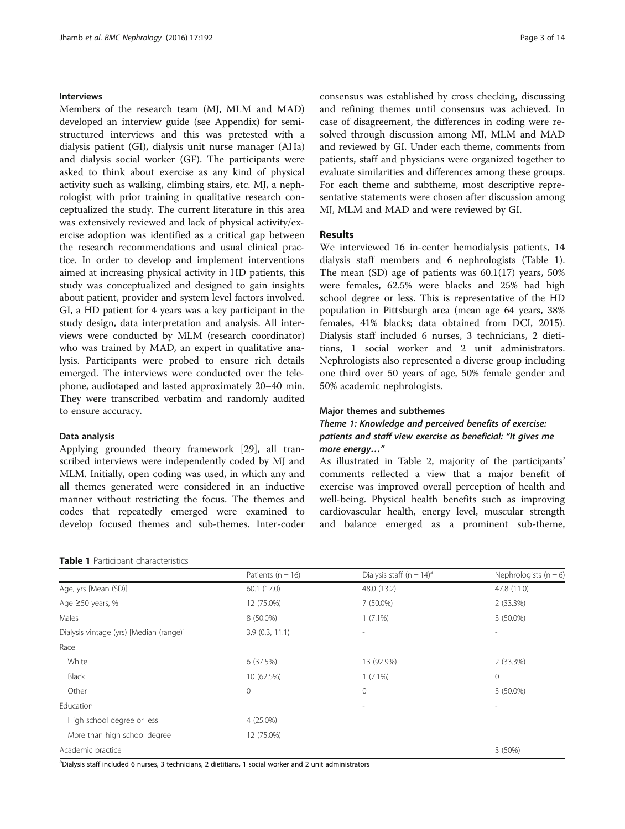## Interviews

Members of the research team (MJ, MLM and MAD) developed an interview guide (see [Appendix\)](#page-11-0) for semistructured interviews and this was pretested with a dialysis patient (GI), dialysis unit nurse manager (AHa) and dialysis social worker (GF). The participants were asked to think about exercise as any kind of physical activity such as walking, climbing stairs, etc. MJ, a nephrologist with prior training in qualitative research conceptualized the study. The current literature in this area was extensively reviewed and lack of physical activity/exercise adoption was identified as a critical gap between the research recommendations and usual clinical practice. In order to develop and implement interventions aimed at increasing physical activity in HD patients, this study was conceptualized and designed to gain insights about patient, provider and system level factors involved. GI, a HD patient for 4 years was a key participant in the study design, data interpretation and analysis. All interviews were conducted by MLM (research coordinator) who was trained by MAD, an expert in qualitative analysis. Participants were probed to ensure rich details emerged. The interviews were conducted over the telephone, audiotaped and lasted approximately 20–40 min. They were transcribed verbatim and randomly audited to ensure accuracy.

#### Data analysis

Applying grounded theory framework [\[29](#page-13-0)], all transcribed interviews were independently coded by MJ and MLM. Initially, open coding was used, in which any and all themes generated were considered in an inductive manner without restricting the focus. The themes and codes that repeatedly emerged were examined to develop focused themes and sub-themes. Inter-coder

#### Table 1 Participant characteristics

consensus was established by cross checking, discussing and refining themes until consensus was achieved. In case of disagreement, the differences in coding were resolved through discussion among MJ, MLM and MAD and reviewed by GI. Under each theme, comments from patients, staff and physicians were organized together to evaluate similarities and differences among these groups. For each theme and subtheme, most descriptive representative statements were chosen after discussion among MJ, MLM and MAD and were reviewed by GI.

## Results

We interviewed 16 in-center hemodialysis patients, 14 dialysis staff members and 6 nephrologists (Table 1). The mean  $(SD)$  age of patients was  $60.1(17)$  years,  $50\%$ were females, 62.5% were blacks and 25% had high school degree or less. This is representative of the HD population in Pittsburgh area (mean age 64 years, 38% females, 41% blacks; data obtained from DCI, 2015). Dialysis staff included 6 nurses, 3 technicians, 2 dietitians, 1 social worker and 2 unit administrators. Nephrologists also represented a diverse group including one third over 50 years of age, 50% female gender and 50% academic nephrologists.

#### Major themes and subthemes

## Theme 1: Knowledge and perceived benefits of exercise: patients and staff view exercise as beneficial: "It gives me more energy…"

As illustrated in Table [2](#page-3-0), majority of the participants' comments reflected a view that a major benefit of exercise was improved overall perception of health and well-being. Physical health benefits such as improving cardiovascular health, energy level, muscular strength and balance emerged as a prominent sub-theme,

|                                         | Patients ( $n = 16$ ) | Dialysis staff ( $n = 14$ ) <sup>a</sup> | Nephrologists ( $n = 6$ ) |
|-----------------------------------------|-----------------------|------------------------------------------|---------------------------|
| Age, yrs [Mean (SD)]                    | 60.1 (17.0)           | 48.0 (13.2)                              | 47.8 (11.0)               |
| Age $\geq$ 50 years, %                  | 12 (75.0%)            | 7 (50.0%)                                | 2(33.3%)                  |
| Males                                   | 8 (50.0%)             | $1(7.1\%)$                               | 3 (50.0%)                 |
| Dialysis vintage (yrs) [Median (range)] | 3.9(0.3, 11.1)        | $\overline{\phantom{a}}$                 |                           |
| Race                                    |                       |                                          |                           |
| White                                   | 6 (37.5%)             | 13 (92.9%)                               | 2(33.3%)                  |
| Black                                   | 10 (62.5%)            | $1(7.1\%)$                               | $\mathbf{0}$              |
| Other                                   | $\mathbf 0$           | $\mathbf{0}$                             | 3 (50.0%)                 |
| Education                               |                       | $\overline{\phantom{a}}$                 |                           |
| High school degree or less              | 4 (25.0%)             |                                          |                           |
| More than high school degree            | 12 (75.0%)            |                                          |                           |
| Academic practice                       |                       |                                          | 3(50%)                    |

a Dialysis staff included 6 nurses, 3 technicians, 2 dietitians, 1 social worker and 2 unit administrators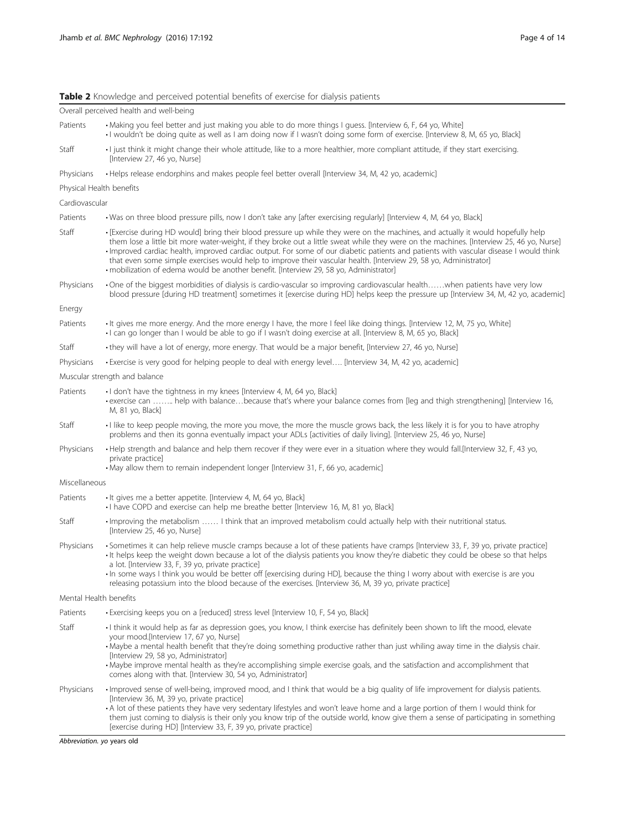## <span id="page-3-0"></span>Table 2 Knowledge and perceived potential benefits of exercise for dialysis patients

|                                          | Overall perceived health and well-being                                                                                                                                                                                                                                                                                                                                                                                                                                                                                                                                                                                               |  |  |  |
|------------------------------------------|---------------------------------------------------------------------------------------------------------------------------------------------------------------------------------------------------------------------------------------------------------------------------------------------------------------------------------------------------------------------------------------------------------------------------------------------------------------------------------------------------------------------------------------------------------------------------------------------------------------------------------------|--|--|--|
| Patients                                 | • Making you feel better and just making you able to do more things I guess. [Interview 6, F, 64 yo, White]<br>· I wouldn't be doing quite as well as I am doing now if I wasn't doing some form of exercise. [Interview 8, M, 65 yo, Black]                                                                                                                                                                                                                                                                                                                                                                                          |  |  |  |
| Staff                                    | I just think it might change their whole attitude, like to a more healthier, more compliant attitude, if they start exercising.<br>[Interview 27, 46 yo, Nurse]                                                                                                                                                                                                                                                                                                                                                                                                                                                                       |  |  |  |
| Physicians                               | · Helps release endorphins and makes people feel better overall [Interview 34, M, 42 yo, academic]                                                                                                                                                                                                                                                                                                                                                                                                                                                                                                                                    |  |  |  |
| Physical Health benefits                 |                                                                                                                                                                                                                                                                                                                                                                                                                                                                                                                                                                                                                                       |  |  |  |
| Cardiovascular                           |                                                                                                                                                                                                                                                                                                                                                                                                                                                                                                                                                                                                                                       |  |  |  |
| Patients                                 | • Was on three blood pressure pills, now I don't take any [after exercising regularly] [Interview 4, M, 64 yo, Black]                                                                                                                                                                                                                                                                                                                                                                                                                                                                                                                 |  |  |  |
| Staff                                    | • [Exercise during HD would] bring their blood pressure up while they were on the machines, and actually it would hopefully help<br>them lose a little bit more water-weight, if they broke out a little sweat while they were on the machines. [Interview 25, 46 yo, Nurse]<br>· Improved cardiac health, improved cardiac output. For some of our diabetic patients and patients with vascular disease I would think<br>that even some simple exercises would help to improve their vascular health. [Interview 29, 58 yo, Administrator]<br>· mobilization of edema would be another benefit. [Interview 29, 58 yo, Administrator] |  |  |  |
| Physicians                               | • One of the biggest morbidities of dialysis is cardio-vascular so improving cardiovascular healthwhen patients have very low<br>blood pressure [during HD treatment] sometimes it [exercise during HD] helps keep the pressure up [Interview 34, M, 42 yo, academic]                                                                                                                                                                                                                                                                                                                                                                 |  |  |  |
| Energy                                   |                                                                                                                                                                                                                                                                                                                                                                                                                                                                                                                                                                                                                                       |  |  |  |
| Patients                                 | It gives me more energy. And the more energy I have, the more I feel like doing things. [Interview 12, M, 75 yo, White]<br>• I can go longer than I would be able to go if I wasn't doing exercise at all. [Interview 8, M, 65 yo, Black]                                                                                                                                                                                                                                                                                                                                                                                             |  |  |  |
| Staff                                    | • they will have a lot of energy, more energy. That would be a major benefit, [Interview 27, 46 yo, Nurse]                                                                                                                                                                                                                                                                                                                                                                                                                                                                                                                            |  |  |  |
| Physicians                               | • Exercise is very good for helping people to deal with energy level [Interview 34, M, 42 yo, academic]                                                                                                                                                                                                                                                                                                                                                                                                                                                                                                                               |  |  |  |
| Muscular strength and balance            |                                                                                                                                                                                                                                                                                                                                                                                                                                                                                                                                                                                                                                       |  |  |  |
| Patients                                 | · I don't have the tightness in my knees [Interview 4, M, 64 yo, Black]<br>• exercise can  help with balancebecause that's where your balance comes from [leq and thigh strengthening] [Interview 16,<br>M, 81 yo, Black]                                                                                                                                                                                                                                                                                                                                                                                                             |  |  |  |
| Staff                                    | I like to keep people moving, the more you move, the more the muscle grows back, the less likely it is for you to have atrophy<br>problems and then its gonna eventually impact your ADLs [activities of daily living]. [Interview 25, 46 yo, Nurse]                                                                                                                                                                                                                                                                                                                                                                                  |  |  |  |
| Physicians                               | • Help strength and balance and help them recover if they were ever in a situation where they would fall.[Interview 32, F, 43 yo,<br>private practice]<br>• May allow them to remain independent longer [Interview 31, F, 66 yo, academic]                                                                                                                                                                                                                                                                                                                                                                                            |  |  |  |
| Miscellaneous                            |                                                                                                                                                                                                                                                                                                                                                                                                                                                                                                                                                                                                                                       |  |  |  |
| Patients                                 | • It gives me a better appetite. [Interview 4, M, 64 yo, Black]<br>• I have COPD and exercise can help me breathe better [Interview 16, M, 81 yo, Black]                                                                                                                                                                                                                                                                                                                                                                                                                                                                              |  |  |  |
| Staff                                    | · Improving the metabolism  I think that an improved metabolism could actually help with their nutritional status.<br>[Interview 25, 46 yo, Nurse]                                                                                                                                                                                                                                                                                                                                                                                                                                                                                    |  |  |  |
| Physicians                               | • Sometimes it can help relieve muscle cramps because a lot of these patients have cramps [Interview 33, F, 39 yo, private practice]<br>It helps keep the weight down because a lot of the dialysis patients you know they're diabetic they could be obese so that helps<br>a lot. [Interview 33, F, 39 yo, private practice]<br>In some ways I think you would be better off [exercising during HD], because the thing I worry about with exercise is are you<br>releasing potassium into the blood because of the exercises. [Interview 36, M, 39 yo, private practice]                                                             |  |  |  |
| Mental Health benefits                   |                                                                                                                                                                                                                                                                                                                                                                                                                                                                                                                                                                                                                                       |  |  |  |
| Patients                                 | • Exercising keeps you on a [reduced] stress level [Interview 10, F, 54 yo, Black]                                                                                                                                                                                                                                                                                                                                                                                                                                                                                                                                                    |  |  |  |
| Staff                                    | I think it would help as far as depression goes, you know, I think exercise has definitely been shown to lift the mood, elevate<br>your mood.[Interview 17, 67 yo, Nurse]<br>• Maybe a mental health benefit that they're doing something productive rather than just whiling away time in the dialysis chair.<br>[Interview 29, 58 yo, Administrator]<br>· Maybe improve mental health as they're accomplishing simple exercise goals, and the satisfaction and accomplishment that<br>comes along with that. [Interview 30, 54 yo, Administrator]                                                                                   |  |  |  |
| Physicians<br>Abbreviation. yo years old | · Improved sense of well-being, improved mood, and I think that would be a big quality of life improvement for dialysis patients.<br>[Interview 36, M, 39 yo, private practice]<br>• A lot of these patients they have very sedentary lifestyles and won't leave home and a large portion of them I would think for<br>them just coming to dialysis is their only you know trip of the outside world, know give them a sense of participating in something<br>[exercise during HD] [Interview 33, F, 39 yo, private practice]                                                                                                         |  |  |  |
|                                          |                                                                                                                                                                                                                                                                                                                                                                                                                                                                                                                                                                                                                                       |  |  |  |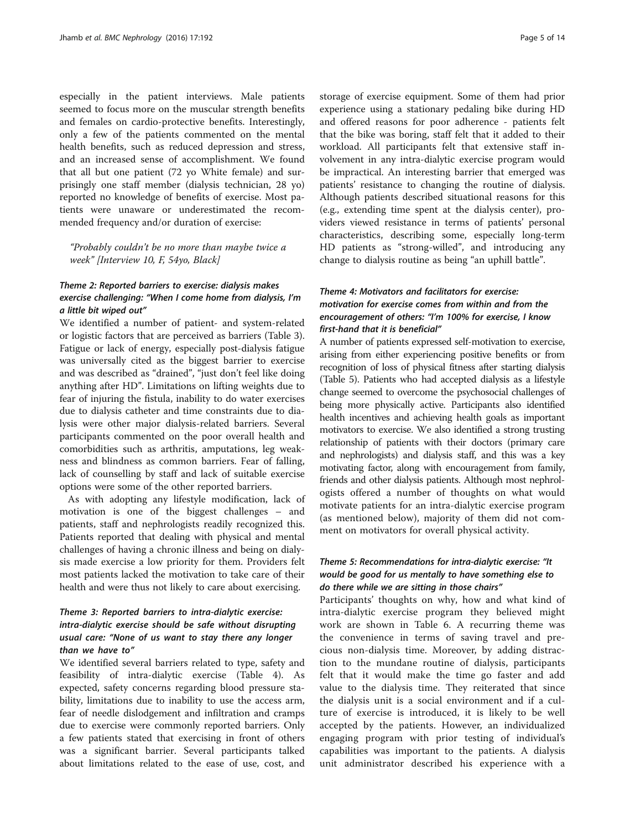especially in the patient interviews. Male patients seemed to focus more on the muscular strength benefits and females on cardio-protective benefits. Interestingly, only a few of the patients commented on the mental health benefits, such as reduced depression and stress, and an increased sense of accomplishment. We found that all but one patient (72 yo White female) and surprisingly one staff member (dialysis technician, 28 yo) reported no knowledge of benefits of exercise. Most patients were unaware or underestimated the recommended frequency and/or duration of exercise:

"Probably couldn't be no more than maybe twice a week" [Interview 10, F, 54yo, Black]

## Theme 2: Reported barriers to exercise: dialysis makes exercise challenging: "When I come home from dialysis, I'm a little bit wiped out"

We identified a number of patient- and system-related or logistic factors that are perceived as barriers (Table [3](#page-5-0)). Fatigue or lack of energy, especially post-dialysis fatigue was universally cited as the biggest barrier to exercise and was described as "drained", "just don't feel like doing anything after HD". Limitations on lifting weights due to fear of injuring the fistula, inability to do water exercises due to dialysis catheter and time constraints due to dialysis were other major dialysis-related barriers. Several participants commented on the poor overall health and comorbidities such as arthritis, amputations, leg weakness and blindness as common barriers. Fear of falling, lack of counselling by staff and lack of suitable exercise options were some of the other reported barriers.

As with adopting any lifestyle modification, lack of motivation is one of the biggest challenges – and patients, staff and nephrologists readily recognized this. Patients reported that dealing with physical and mental challenges of having a chronic illness and being on dialysis made exercise a low priority for them. Providers felt most patients lacked the motivation to take care of their health and were thus not likely to care about exercising.

## Theme 3: Reported barriers to intra-dialytic exercise: intra-dialytic exercise should be safe without disrupting usual care: "None of us want to stay there any longer than we have to"

We identified several barriers related to type, safety and feasibility of intra-dialytic exercise (Table [4\)](#page-6-0). As expected, safety concerns regarding blood pressure stability, limitations due to inability to use the access arm, fear of needle dislodgement and infiltration and cramps due to exercise were commonly reported barriers. Only a few patients stated that exercising in front of others was a significant barrier. Several participants talked about limitations related to the ease of use, cost, and storage of exercise equipment. Some of them had prior experience using a stationary pedaling bike during HD and offered reasons for poor adherence - patients felt that the bike was boring, staff felt that it added to their workload. All participants felt that extensive staff involvement in any intra-dialytic exercise program would be impractical. An interesting barrier that emerged was patients' resistance to changing the routine of dialysis. Although patients described situational reasons for this (e.g., extending time spent at the dialysis center), providers viewed resistance in terms of patients' personal characteristics, describing some, especially long-term HD patients as "strong-willed", and introducing any change to dialysis routine as being "an uphill battle".

## Theme 4: Motivators and facilitators for exercise: motivation for exercise comes from within and from the encouragement of others: "I'm 100% for exercise, I know first-hand that it is beneficial"

A number of patients expressed self-motivation to exercise, arising from either experiencing positive benefits or from recognition of loss of physical fitness after starting dialysis (Table [5\)](#page-7-0). Patients who had accepted dialysis as a lifestyle change seemed to overcome the psychosocial challenges of being more physically active. Participants also identified health incentives and achieving health goals as important motivators to exercise. We also identified a strong trusting relationship of patients with their doctors (primary care and nephrologists) and dialysis staff, and this was a key motivating factor, along with encouragement from family, friends and other dialysis patients. Although most nephrologists offered a number of thoughts on what would motivate patients for an intra-dialytic exercise program (as mentioned below), majority of them did not comment on motivators for overall physical activity.

## Theme 5: Recommendations for intra-dialytic exercise: "It would be good for us mentally to have something else to do there while we are sitting in those chairs"

Participants' thoughts on why, how and what kind of intra-dialytic exercise program they believed might work are shown in Table [6.](#page-8-0) A recurring theme was the convenience in terms of saving travel and precious non-dialysis time. Moreover, by adding distraction to the mundane routine of dialysis, participants felt that it would make the time go faster and add value to the dialysis time. They reiterated that since the dialysis unit is a social environment and if a culture of exercise is introduced, it is likely to be well accepted by the patients. However, an individualized engaging program with prior testing of individual's capabilities was important to the patients. A dialysis unit administrator described his experience with a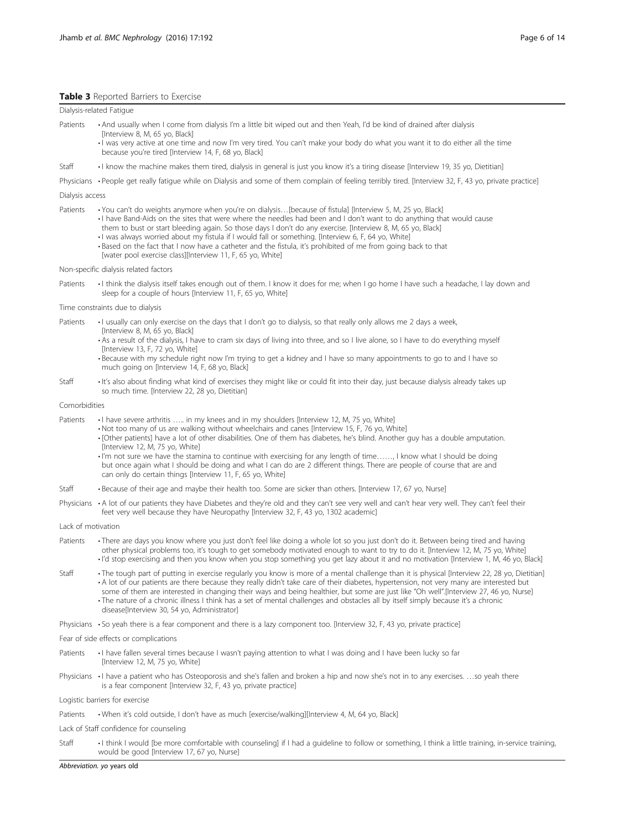#### <span id="page-5-0"></span>Table 3 Reported Barriers to Exercise

Dialysis-related Fatigue

- Patients And usually when I come from dialysis I'm a little bit wiped out and then Yeah, I'd be kind of drained after dialysis [Interview 8, M, 65 yo, Black]
	- I was very active at one time and now I'm very tired. You can't make your body do what you want it to do either all the time because you're tired [Interview 14, F, 68 yo, Black]
- Staff I know the machine makes them tired, dialysis in general is just you know it's a tiring disease [Interview 19, 35 yo, Dietitian]

Physicians • People get really fatigue while on Dialysis and some of them complain of feeling terribly tired. [Interview 32, F, 43 yo, private practice]

#### Dialysis access

- Patients You can't do weights anymore when you're on dialysis...[because of fistula] [Interview 5, M, 25 yo, Black]
	- I have Band-Aids on the sites that were where the needles had been and I don't want to do anything that would cause
		- them to bust or start bleeding again. So those days I don't do any exercise. [Interview 8, M, 65 yo, Black]
	- I was always worried about my fistula if I would fall or something. [Interview 6, F, 64 yo, White]
	- Based on the fact that I now have a catheter and the fistula, it's prohibited of me from going back to that [water pool exercise class][Interview 11, F, 65 yo, White]

#### Non-specific dialysis related factors

Patients · I think the dialysis itself takes enough out of them. I know it does for me; when I go home I have such a headache, I lay down and sleep for a couple of hours [Interview 11, F, 65 yo, White]

#### Time constraints due to dialysis

Patients • I usually can only exercise on the days that I don't go to dialysis, so that really only allows me 2 days a week,

- [Interview 8, M, 65 yo, Black]
- As a result of the dialysis, I have to cram six days of living into three, and so I live alone, so I have to do everything myself [Interview 13, F, 72 yo, White]
- Because with my schedule right now I'm trying to get a kidney and I have so many appointments to go to and I have so much going on [Interview 14, F, 68 yo, Black]
- Staff It's also about finding what kind of exercises they might like or could fit into their day, just because dialysis already takes up so much time. [Interview 22, 28 yo, Dietitian]

#### Comorbidities

- Patients I have severe arthritis ..... in my knees and in my shoulders [Interview 12, M, 75 yo, White]
	- Not too many of us are walking without wheelchairs and canes [Interview 15, F, 76 yo, White]
		- [Other patients] have a lot of other disabilities. One of them has diabetes, he's blind. Another guy has a double amputation. [Interview 12, M, 75 yo, White]
		- I'm not sure we have the stamina to continue with exercising for any length of time……, I know what I should be doing but once again what I should be doing and what I can do are 2 different things. There are people of course that are and can only do certain things [Interview 11, F, 65 yo, White]
- Staff Because of their age and maybe their health too. Some are sicker than others. [Interview 17, 67 yo, Nurse]
- Physicians A lot of our patients they have Diabetes and they're old and they can't see very well and can't hear very well. They can't feel their feet very well because they have Neuropathy [Interview 32, F, 43 yo, 1302 academic]
- Lack of motivation
- Patients There are days you know where you just don't feel like doing a whole lot so you just don't do it. Between being tired and having other physical problems too, it's tough to get somebody motivated enough to want to try to do it. [Interview 12, M, 75 yo, White] • I'd stop exercising and then you know when you stop something you get lazy about it and no motivation [Interview 1, M, 46 yo, Black]
- Staff Figure 1. The tough part of putting in exercise regularly you know is more of a mental challenge than it is physical [Interview 22, 28 yo, Dietitian] • A lot of our patients are there because they really didn't take care of their diabetes, hypertension, not very many are interested but some of them are interested in changing their ways and being healthier, but some are just like "Oh well".[Interview 27, 46 yo, Nurse] • The nature of a chronic illness I think has a set of mental challenges and obstacles all by itself simply because it's a chronic disease[Interview 30, 54 yo, Administrator]
- Physicians So yeah there is a fear component and there is a lazy component too. [Interview 32, F, 43 yo, private practice]
- Fear of side effects or complications
- Patients I have fallen several times because I wasn't paying attention to what I was doing and I have been lucky so far [Interview 12, M, 75 yo, White]
- Physicians I have a patient who has Osteoporosis and she's fallen and broken a hip and now she's not in to any exercises. ...so yeah there is a fear component [Interview 32, F, 43 yo, private practice]
- Logistic barriers for exercise

Patients • When it's cold outside, I don't have as much [exercise/walking][Interview 4, M, 64 yo, Black]

Lack of Staff confidence for counseling

Staff • I think I would [be more comfortable with counseling] if I had a guideline to follow or something, I think a little training, in-service training, would be good [Interview 17, 67 yo, Nurse]

Abbreviation. yo years old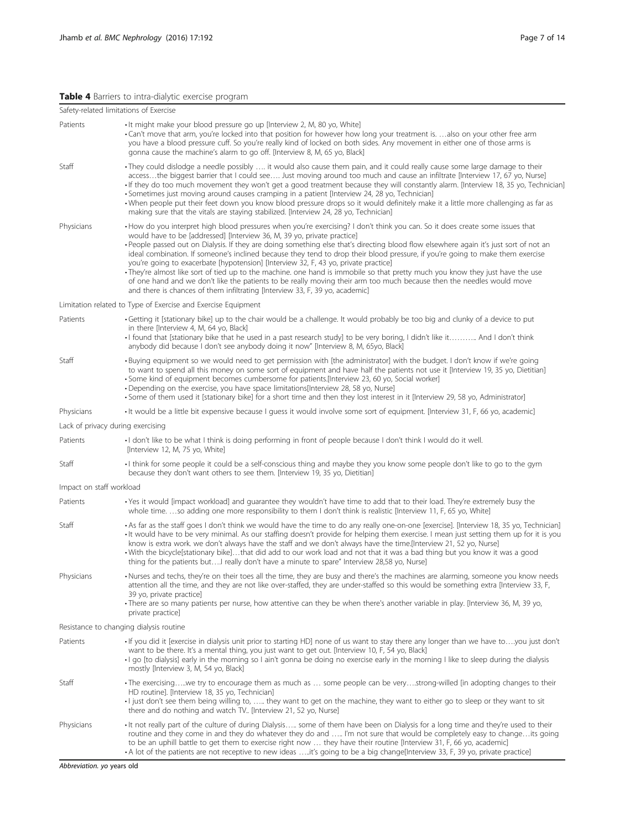## <span id="page-6-0"></span>Table 4 Barriers to intra-dialytic exercise program

|                          | Safety-related limitations of Exercise                                                                                                                                                                                                                                                                                                                                                                                                                                                                                                                                                                                                                                                                                                                                                                                                                                                                                 |
|--------------------------|------------------------------------------------------------------------------------------------------------------------------------------------------------------------------------------------------------------------------------------------------------------------------------------------------------------------------------------------------------------------------------------------------------------------------------------------------------------------------------------------------------------------------------------------------------------------------------------------------------------------------------------------------------------------------------------------------------------------------------------------------------------------------------------------------------------------------------------------------------------------------------------------------------------------|
| Patients                 | • It might make your blood pressure go up [Interview 2, M, 80 yo, White]<br>•Can't move that arm, you're locked into that position for however how long your treatment is. also on your other free arm<br>you have a blood pressure cuff. So you're really kind of locked on both sides. Any movement in either one of those arms is<br>gonna cause the machine's alarm to go off. [Interview 8, M, 65 yo, Black]                                                                                                                                                                                                                                                                                                                                                                                                                                                                                                      |
| Staff                    | · They could dislodge a needle possibly  it would also cause them pain, and it could really cause some large damage to their<br>accessthe biggest barrier that I could see Just moving around too much and cause an infiltrate [Interview 17, 67 yo, Nurse]<br>. If they do too much movement they won't get a good treatment because they will constantly alarm. [Interview 18, 35 yo, Technician]<br>• Sometimes just moving around causes cramping in a patient [Interview 24, 28 yo, Technician]<br>. When people put their feet down you know blood pressure drops so it would definitely make it a little more challenging as far as<br>making sure that the vitals are staying stabilized. [Interview 24, 28 yo, Technician]                                                                                                                                                                                    |
| Physicians               | • How do you interpret high blood pressures when you're exercising? I don't think you can. So it does create some issues that<br>would have to be [addressed] [Interview 36, M, 39 yo, private practice]<br>• People passed out on Dialysis. If they are doing something else that's directing blood flow elsewhere again it's just sort of not an<br>ideal combination. If someone's inclined because they tend to drop their blood pressure, if you're going to make them exercise<br>you're going to exacerbate [hypotension] [Interview 32, F, 43 yo, private practice]<br>· They're almost like sort of tied up to the machine. one hand is immobile so that pretty much you know they just have the use<br>of one hand and we don't like the patients to be really moving their arm too much because then the needles would move<br>and there is chances of them infiltrating [Interview 33, F, 39 yo, academic] |
|                          | Limitation related to Type of Exercise and Exercise Equipment                                                                                                                                                                                                                                                                                                                                                                                                                                                                                                                                                                                                                                                                                                                                                                                                                                                          |
| Patients                 | Getting it [stationary bike] up to the chair would be a challenge. It would probably be too big and clunky of a device to put<br>in there [Interview 4, M, 64 yo, Black]<br>• I found that [stationary bike that he used in a past research study] to be very boring, I didn't like it And I don't think<br>anybody did because I don't see anybody doing it now" [Interview 8, M, 65yo, Black]                                                                                                                                                                                                                                                                                                                                                                                                                                                                                                                        |
| Staff                    | . Buying equipment so we would need to get permission with [the administrator] with the budget. I don't know if we're going<br>to want to spend all this money on some sort of equipment and have half the patients not use it [Interview 19, 35 yo, Dietitian]<br>• Some kind of equipment becomes cumbersome for patients.[Interview 23, 60 yo, Social worker]<br>• Depending on the exercise, you have space limitations[Interview 28, 58 yo, Nurse]<br>• Some of them used it [stationary bike] for a short time and then they lost interest in it [Interview 29, 58 yo, Administrator]                                                                                                                                                                                                                                                                                                                            |
| Physicians               | • It would be a little bit expensive because I guess it would involve some sort of equipment. [Interview 31, F, 66 yo, academic]                                                                                                                                                                                                                                                                                                                                                                                                                                                                                                                                                                                                                                                                                                                                                                                       |
|                          | Lack of privacy during exercising                                                                                                                                                                                                                                                                                                                                                                                                                                                                                                                                                                                                                                                                                                                                                                                                                                                                                      |
| Patients                 | I don't like to be what I think is doing performing in front of people because I don't think I would do it well.<br>[Interview 12, M, 75 yo, White]                                                                                                                                                                                                                                                                                                                                                                                                                                                                                                                                                                                                                                                                                                                                                                    |
| Staff                    | I think for some people it could be a self-conscious thing and maybe they you know some people don't like to go to the gym<br>because they don't want others to see them. [Interview 19, 35 yo, Dietitian]                                                                                                                                                                                                                                                                                                                                                                                                                                                                                                                                                                                                                                                                                                             |
| Impact on staff workload |                                                                                                                                                                                                                                                                                                                                                                                                                                                                                                                                                                                                                                                                                                                                                                                                                                                                                                                        |
| Patients                 | . Yes it would [impact workload] and quarantee they wouldn't have time to add that to their load. They're extremely busy the<br>whole time. so adding one more responsibility to them I don't think is realistic [Interview 11, F, 65 yo, White]                                                                                                                                                                                                                                                                                                                                                                                                                                                                                                                                                                                                                                                                       |
| Staff                    | • As far as the staff goes I don't think we would have the time to do any really one-on-one [exercise]. [Interview 18, 35 yo, Technician]<br>It would have to be very minimal. As our staffing doesn't provide for helping them exercise. I mean just setting them up for it is you<br>know is extra work, we don't always have the staff and we don't always have the time.[Interview 21, 52 yo, Nurse]<br>. With the bicycle[stationary bike]that did add to our work load and not that it was a bad thing but you know it was a good<br>thing for the patients but! really don't have a minute to spare" Interview 28,58 yo, Nurse]                                                                                                                                                                                                                                                                                 |
| Physicians               | · Nurses and techs, they're on their toes all the time, they are busy and there's the machines are alarming, someone you know needs<br>attention all the time, and they are not like over-staffed, they are under-staffed so this would be something extra [Interview 33, F,<br>39 yo, private practice]<br>•There are so many patients per nurse, how attentive can they be when there's another variable in play. [Interview 36, M, 39 yo,<br>private practice]                                                                                                                                                                                                                                                                                                                                                                                                                                                      |
|                          | Resistance to changing dialysis routine                                                                                                                                                                                                                                                                                                                                                                                                                                                                                                                                                                                                                                                                                                                                                                                                                                                                                |
| Patients                 | • If you did it [exercise in dialysis unit prior to starting HD] none of us want to stay there any longer than we have toyou just don't<br>want to be there. It's a mental thing, you just want to get out. [Interview 10, F, 54 yo, Black]<br>· I go [to dialysis] early in the morning so I ain't gonna be doing no exercise early in the morning I like to sleep during the dialysis<br>mostly [Interview 3, M, 54 yo, Black]                                                                                                                                                                                                                                                                                                                                                                                                                                                                                       |
| Staff                    | · The exercisingwe try to encourage them as much as  some people can be verystrong-willed [in adopting changes to their<br>HD routine]. [Interview 18, 35 yo, Technician]<br>· I just don't see them being willing to,  they want to get on the machine, they want to either go to sleep or they want to sit<br>there and do nothing and watch TV. [Interview 21, 52 yo, Nurse]                                                                                                                                                                                                                                                                                                                                                                                                                                                                                                                                        |
| Physicians               | • It not really part of the culture of during Dialysis some of them have been on Dialysis for a long time and they're used to their<br>routine and they come in and they do whatever they do and  I'm not sure that would be completely easy to changeits going<br>to be an uphill battle to get them to exercise right now  they have their routine [Interview 31, F, 66 yo, academic]<br>• A lot of the patients are not receptive to new ideas it's going to be a big change[Interview 33, F, 39 yo, private practice]                                                                                                                                                                                                                                                                                                                                                                                              |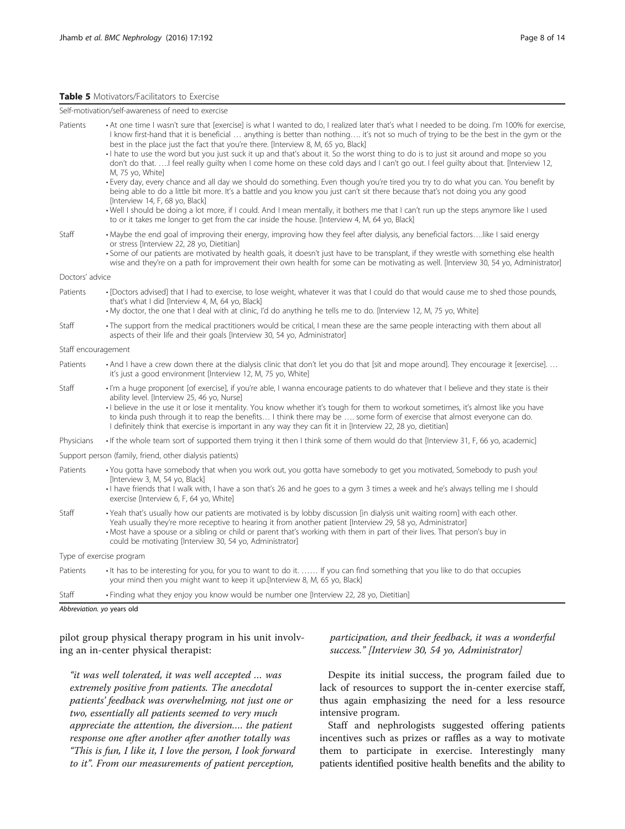#### <span id="page-7-0"></span>Table 5 Motivators/Facilitators to Exercise

Self-motivation/self-awareness of need to exercise

| Patients                                                 | • At one time I wasn't sure that [exercise] is what I wanted to do, I realized later that's what I needed to be doing. I'm 100% for exercise,<br>I know first-hand that it is beneficial  anything is better than nothing it's not so much of trying to be the best in the gym or the<br>best in the place just the fact that you're there. [Interview 8, M, 65 yo, Black]                                                                                        |  |  |  |
|----------------------------------------------------------|-------------------------------------------------------------------------------------------------------------------------------------------------------------------------------------------------------------------------------------------------------------------------------------------------------------------------------------------------------------------------------------------------------------------------------------------------------------------|--|--|--|
|                                                          | · I hate to use the word but you just suck it up and that's about it. So the worst thing to do is to just sit around and mope so you<br>don't do that. ! feel really guilty when I come home on these cold days and I can't go out. I feel guilty about that. [Interview 12,<br>M, 75 yo, White]                                                                                                                                                                  |  |  |  |
|                                                          | · Every day, every chance and all day we should do something. Even though you're tired you try to do what you can. You benefit by<br>being able to do a little bit more. It's a battle and you know you just can't sit there because that's not doing you any good<br>[Interview 14, F, 68 yo, Black]                                                                                                                                                             |  |  |  |
|                                                          | . Well I should be doing a lot more, if I could. And I mean mentally, it bothers me that I can't run up the steps anymore like I used<br>to or it takes me longer to get from the car inside the house. [Interview 4, M, 64 yo, Black]                                                                                                                                                                                                                            |  |  |  |
| Staff                                                    | · Maybe the end goal of improving their energy, improving how they feel after dialysis, any beneficial factorslike I said energy<br>or stress [Interview 22, 28 yo, Dietitian]<br>• Some of our patients are motivated by health goals, it doesn't just have to be transplant, if they wrestle with something else health<br>wise and they're on a path for improvement their own health for some can be motivating as well. [Interview 30, 54 yo, Administrator] |  |  |  |
| Doctors' advice                                          |                                                                                                                                                                                                                                                                                                                                                                                                                                                                   |  |  |  |
| Patients                                                 | • [Doctors advised] that I had to exercise, to lose weight, whatever it was that I could do that would cause me to shed those pounds,<br>that's what I did [Interview 4, M, 64 yo, Black]<br>• My doctor, the one that I deal with at clinic, I'd do anything he tells me to do. [Interview 12, M, 75 yo, White]                                                                                                                                                  |  |  |  |
| Staff                                                    | • The support from the medical practitioners would be critical, I mean these are the same people interacting with them about all<br>aspects of their life and their goals [Interview 30, 54 yo, Administrator]                                                                                                                                                                                                                                                    |  |  |  |
| Staff encouragement                                      |                                                                                                                                                                                                                                                                                                                                                                                                                                                                   |  |  |  |
| Patients                                                 | • And I have a crew down there at the dialysis clinic that don't let you do that [sit and mope around]. They encourage it [exercise].<br>it's just a good environment [Interview 12, M, 75 yo, White]                                                                                                                                                                                                                                                             |  |  |  |
| Staff                                                    | · I'm a huge proponent [of exercise], if you're able, I wanna encourage patients to do whatever that I believe and they state is their<br>ability level. [Interview 25, 46 yo, Nurse]                                                                                                                                                                                                                                                                             |  |  |  |
|                                                          | · I believe in the use it or lose it mentality. You know whether it's tough for them to workout sometimes, it's almost like you have<br>to kinda push through it to reap the benefits I think there may be  some form of exercise that almost everyone can do.<br>I definitely think that exercise is important in any way they can fit it in [Interview 22, 28 yo, dietitian]                                                                                    |  |  |  |
| Physicians                                               | If the whole team sort of supported them trying it then I think some of them would do that [Interview 31, F, 66 yo, academic]                                                                                                                                                                                                                                                                                                                                     |  |  |  |
| Support person (family, friend, other dialysis patients) |                                                                                                                                                                                                                                                                                                                                                                                                                                                                   |  |  |  |
| Patients                                                 | • You gotta have somebody that when you work out, you gotta have somebody to get you motivated, Somebody to push you!<br>[Interview 3, M, 54 yo, Black]<br>· I have friends that I walk with, I have a son that's 26 and he goes to a gym 3 times a week and he's always telling me I should<br>exercise [Interview 6, F, 64 yo, White]                                                                                                                           |  |  |  |
| Staff                                                    | · Yeah that's usually how our patients are motivated is by lobby discussion [in dialysis unit waiting room] with each other.<br>Yeah usually they're more receptive to hearing it from another patient [Interview 29, 58 yo, Administrator]<br>• Most have a spouse or a sibling or child or parent that's working with them in part of their lives. That person's buy in<br>could be motivating [Interview 30, 54 yo, Administrator]                             |  |  |  |
| Type of exercise program                                 |                                                                                                                                                                                                                                                                                                                                                                                                                                                                   |  |  |  |
| Patients                                                 | It has to be interesting for you, for you to want to do it.  If you can find something that you like to do that occupies<br>your mind then you might want to keep it up.[Interview 8, M, 65 yo, Black]                                                                                                                                                                                                                                                            |  |  |  |
| Staff                                                    | · Finding what they enjoy you know would be number one [Interview 22, 28 yo, Dietitian]                                                                                                                                                                                                                                                                                                                                                                           |  |  |  |

Abbreviation. yo years old

pilot group physical therapy program in his unit involving an in-center physical therapist:

"it was well tolerated, it was well accepted … was extremely positive from patients. The anecdotal patients' feedback was overwhelming, not just one or two, essentially all patients seemed to very much appreciate the attention, the diversion…. the patient response one after another after another totally was "This is fun, I like it, I love the person, I look forward to it". From our measurements of patient perception,

## participation, and their feedback, it was a wonderful success." [Interview 30, 54 yo, Administrator]

Despite its initial success, the program failed due to lack of resources to support the in-center exercise staff, thus again emphasizing the need for a less resource intensive program.

Staff and nephrologists suggested offering patients incentives such as prizes or raffles as a way to motivate them to participate in exercise. Interestingly many patients identified positive health benefits and the ability to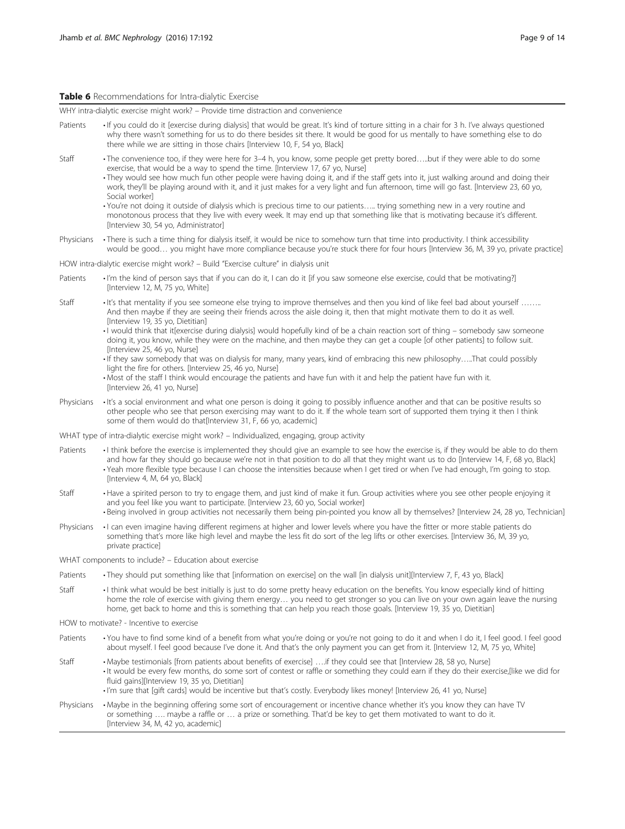#### <span id="page-8-0"></span>Table 6 Recommendations for Intra-dialytic Exercise

WHY intra-dialytic exercise might work? – Provide time distraction and convenience

- Patients If you could do it [exercise during dialysis] that would be great. It's kind of torture sitting in a chair for 3 h. I've always questioned why there wasn't something for us to do there besides sit there. It would be good for us mentally to have something else to do there while we are sitting in those chairs [Interview 10, F, 54 yo, Black] Staff • The convenience too, if they were here for 3–4 h, you know, some people get pretty bored…..but if they were able to do some exercise, that would be a way to spend the time. [Interview 17, 67 yo, Nurse]
	- They would see how much fun other people were having doing it, and if the staff gets into it, just walking around and doing their work, they'll be playing around with it, and it just makes for a very light and fun afternoon, time will go fast. [Interview 23, 60 yo, Social worker]
	- You're not doing it outside of dialysis which is precious time to our patients….. trying something new in a very routine and monotonous process that they live with every week. It may end up that something like that is motivating because it's different. [Interview 30, 54 yo, Administrator]
- Physicians There is such a time thing for dialysis itself, it would be nice to somehow turn that time into productivity. I think accessibility would be good... you might have more compliance because you're stuck there for four hours [Interview 36, M, 39 yo, private practice]

HOW intra-dialytic exercise might work? – Build "Exercise culture" in dialysis unit

- Patients I'm the kind of person says that if you can do it, I can do it [if you saw someone else exercise, could that be motivating?] [Interview 12, M, 75 yo, White]
- Staff · It's that mentality if you see someone else trying to improve themselves and then you kind of like feel bad about yourself ........ And then maybe if they are seeing their friends across the aisle doing it, then that might motivate them to do it as well. [Interview 19, 35 yo, Dietitian]
	- I would think that it[exercise during dialysis] would hopefully kind of be a chain reaction sort of thing somebody saw someone doing it, you know, while they were on the machine, and then maybe they can get a couple [of other patients] to follow suit. [Interview 25, 46 yo, Nurse]
	- If they saw somebody that was on dialysis for many, many years, kind of embracing this new philosophy…..That could possibly light the fire for others. [Interview 25, 46 yo, Nurse]
	- Most of the staff I think would encourage the patients and have fun with it and help the patient have fun with it. [Interview 26, 41 yo, Nurse]
- Physicians It's a social environment and what one person is doing it going to possibly influence another and that can be positive results so other people who see that person exercising may want to do it. If the whole team sort of supported them trying it then I think some of them would do that[Interview 31, F, 66 yo, academic]
- WHAT type of intra-dialytic exercise might work? Individualized, engaging, group activity
- Patients I think before the exercise is implemented they should give an example to see how the exercise is, if they would be able to do them and how far they should go because we're not in that position to do all that they might want us to do [Interview 14, F, 68 yo, Black] • Yeah more flexible type because I can choose the intensities because when I get tired or when I've had enough, I'm going to stop. [Interview 4, M, 64 yo, Black]
- Staff Have a spirited person to try to engage them, and just kind of make it fun. Group activities where you see other people enjoying it and you feel like you want to participate. [Interview 23, 60 yo, Social worker] • Being involved in group activities not necessarily them being pin-pointed you know all by themselves? [Interview 24, 28 yo, Technician]
- Physicians I can even imagine having different regimens at higher and lower levels where you have the fitter or more stable patients do something that's more like high level and maybe the less fit do sort of the leg lifts or other exercises. [Interview 36, M, 39 yo,
- WHAT components to include? Education about exercise
- Patients They should put something like that [information on exercise] on the wall [in dialysis unit][Interview 7, F, 43 yo, Black]
- Staff I think what would be best initially is just to do some pretty heavy education on the benefits. You know especially kind of hitting home the role of exercise with giving them energy… you need to get stronger so you can live on your own again leave the nursing home, get back to home and this is something that can help you reach those goals. [Interview 19, 35 yo, Dietitian]
- HOW to motivate? Incentive to exercise

private practice]

- Patients You have to find some kind of a benefit from what you're doing or you're not going to do it and when I do it, I feel good. I feel good about myself. I feel good because I've done it. And that's the only payment you can get from it. [Interview 12, M, 75 yo, White]
- Staff Maybe testimonials [from patients about benefits of exercise] ….if they could see that [Interview 28, 58 yo, Nurse] • It would be every few months, do some sort of contest or raffle or something they could earn if they do their exercise,[like we did for fluid gains][Interview 19, 35 yo, Dietitian]
	- I'm sure that [gift cards] would be incentive but that's costly. Everybody likes money! [Interview 26, 41 yo, Nurse]
- Physicians Maybe in the beginning offering some sort of encouragement or incentive chance whether it's you know they can have TV or something …. maybe a raffle or … a prize or something. That'd be key to get them motivated to want to do it. [Interview 34, M, 42 yo, academic]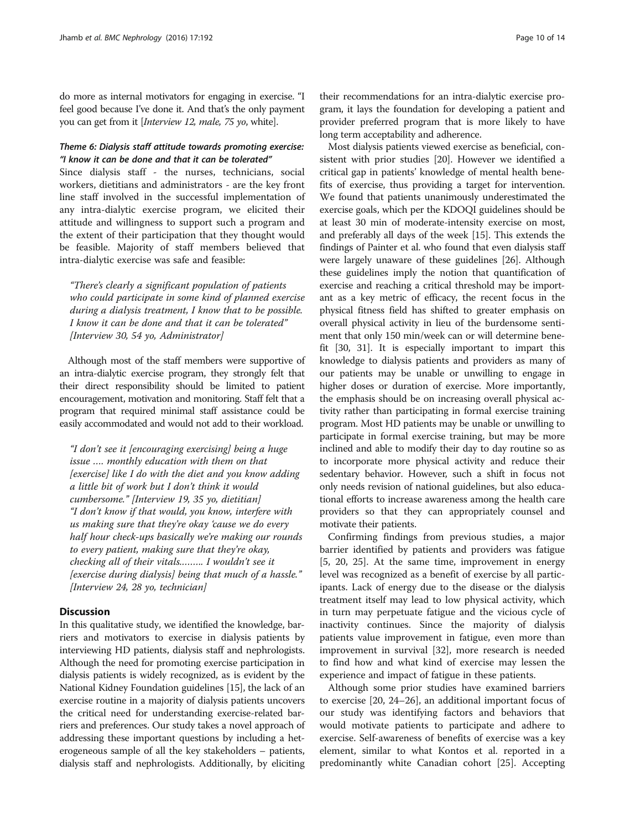do more as internal motivators for engaging in exercise. "I feel good because I've done it. And that's the only payment you can get from it [Interview 12, male, 75 yo, white].

## Theme 6: Dialysis staff attitude towards promoting exercise: "I know it can be done and that it can be tolerated"

Since dialysis staff - the nurses, technicians, social workers, dietitians and administrators - are the key front line staff involved in the successful implementation of any intra-dialytic exercise program, we elicited their attitude and willingness to support such a program and the extent of their participation that they thought would be feasible. Majority of staff members believed that intra-dialytic exercise was safe and feasible:

"There's clearly a significant population of patients who could participate in some kind of planned exercise during a dialysis treatment, I know that to be possible. I know it can be done and that it can be tolerated" [Interview 30, 54 yo, Administrator]

Although most of the staff members were supportive of an intra-dialytic exercise program, they strongly felt that their direct responsibility should be limited to patient encouragement, motivation and monitoring. Staff felt that a program that required minimal staff assistance could be easily accommodated and would not add to their workload.

"I don't see it [encouraging exercising] being a huge issue …. monthly education with them on that [exercise] like I do with the diet and you know adding a little bit of work but I don't think it would cumbersome." [Interview 19, 35 yo, dietitian] "I don't know if that would, you know, interfere with us making sure that they're okay 'cause we do every half hour check-ups basically we're making our rounds to every patient, making sure that they're okay, checking all of their vitals.…….. I wouldn't see it [exercise during dialysis] being that much of a hassle." [Interview 24, 28 yo, technician]

## **Discussion**

In this qualitative study, we identified the knowledge, barriers and motivators to exercise in dialysis patients by interviewing HD patients, dialysis staff and nephrologists. Although the need for promoting exercise participation in dialysis patients is widely recognized, as is evident by the National Kidney Foundation guidelines [[15\]](#page-12-0), the lack of an exercise routine in a majority of dialysis patients uncovers the critical need for understanding exercise-related barriers and preferences. Our study takes a novel approach of addressing these important questions by including a heterogeneous sample of all the key stakeholders – patients, dialysis staff and nephrologists. Additionally, by eliciting

their recommendations for an intra-dialytic exercise program, it lays the foundation for developing a patient and provider preferred program that is more likely to have long term acceptability and adherence.

Most dialysis patients viewed exercise as beneficial, consistent with prior studies [[20](#page-12-0)]. However we identified a critical gap in patients' knowledge of mental health benefits of exercise, thus providing a target for intervention. We found that patients unanimously underestimated the exercise goals, which per the KDOQI guidelines should be at least 30 min of moderate-intensity exercise on most, and preferably all days of the week [[15\]](#page-12-0). This extends the findings of Painter et al. who found that even dialysis staff were largely unaware of these guidelines [[26](#page-13-0)]. Although these guidelines imply the notion that quantification of exercise and reaching a critical threshold may be important as a key metric of efficacy, the recent focus in the physical fitness field has shifted to greater emphasis on overall physical activity in lieu of the burdensome sentiment that only 150 min/week can or will determine benefit [\[30, 31\]](#page-13-0). It is especially important to impart this knowledge to dialysis patients and providers as many of our patients may be unable or unwilling to engage in higher doses or duration of exercise. More importantly, the emphasis should be on increasing overall physical activity rather than participating in formal exercise training program. Most HD patients may be unable or unwilling to participate in formal exercise training, but may be more inclined and able to modify their day to day routine so as to incorporate more physical activity and reduce their sedentary behavior. However, such a shift in focus not only needs revision of national guidelines, but also educational efforts to increase awareness among the health care providers so that they can appropriately counsel and motivate their patients.

Confirming findings from previous studies, a major barrier identified by patients and providers was fatigue [[5, 20](#page-12-0), [25](#page-13-0)]. At the same time, improvement in energy level was recognized as a benefit of exercise by all participants. Lack of energy due to the disease or the dialysis treatment itself may lead to low physical activity, which in turn may perpetuate fatigue and the vicious cycle of inactivity continues. Since the majority of dialysis patients value improvement in fatigue, even more than improvement in survival [\[32](#page-13-0)], more research is needed to find how and what kind of exercise may lessen the experience and impact of fatigue in these patients.

Although some prior studies have examined barriers to exercise [\[20,](#page-12-0) [24](#page-13-0)–[26\]](#page-13-0), an additional important focus of our study was identifying factors and behaviors that would motivate patients to participate and adhere to exercise. Self-awareness of benefits of exercise was a key element, similar to what Kontos et al. reported in a predominantly white Canadian cohort [[25\]](#page-13-0). Accepting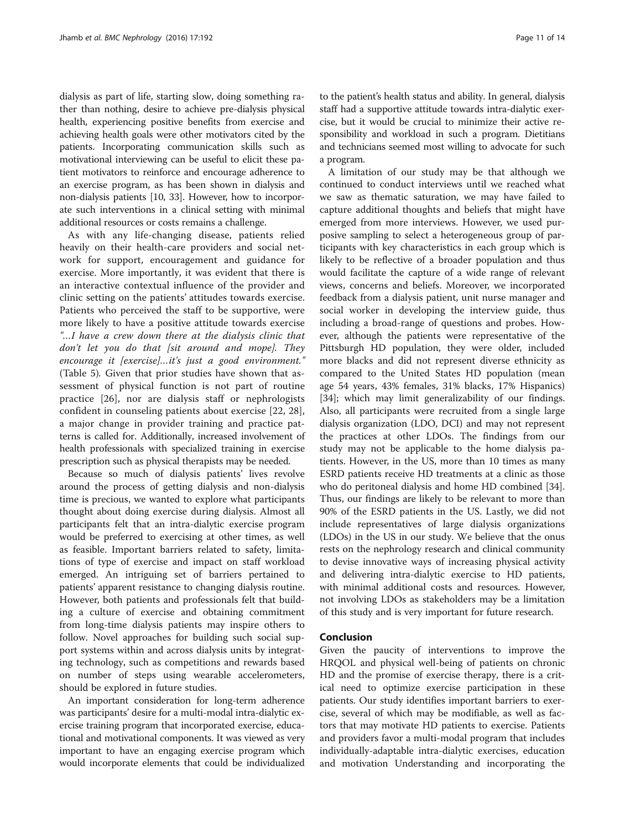dialysis as part of life, starting slow, doing something rather than nothing, desire to achieve pre-dialysis physical health, experiencing positive benefits from exercise and achieving health goals were other motivators cited by the patients. Incorporating communication skills such as motivational interviewing can be useful to elicit these patient motivators to reinforce and encourage adherence to an exercise program, as has been shown in dialysis and non-dialysis patients [\[10,](#page-12-0) [33\]](#page-13-0). However, how to incorporate such interventions in a clinical setting with minimal additional resources or costs remains a challenge.

As with any life-changing disease, patients relied heavily on their health-care providers and social network for support, encouragement and guidance for exercise. More importantly, it was evident that there is an interactive contextual influence of the provider and clinic setting on the patients' attitudes towards exercise. Patients who perceived the staff to be supportive, were more likely to have a positive attitude towards exercise "…I have a crew down there at the dialysis clinic that don't let you do that [sit around and mope]. They encourage it [exercise]...it's just a good environment." (Table [5](#page-7-0)). Given that prior studies have shown that assessment of physical function is not part of routine practice [[26\]](#page-13-0), nor are dialysis staff or nephrologists confident in counseling patients about exercise [[22, 28](#page-13-0)], a major change in provider training and practice patterns is called for. Additionally, increased involvement of health professionals with specialized training in exercise prescription such as physical therapists may be needed.

Because so much of dialysis patients' lives revolve around the process of getting dialysis and non-dialysis time is precious, we wanted to explore what participants thought about doing exercise during dialysis. Almost all participants felt that an intra-dialytic exercise program would be preferred to exercising at other times, as well as feasible. Important barriers related to safety, limitations of type of exercise and impact on staff workload emerged. An intriguing set of barriers pertained to patients' apparent resistance to changing dialysis routine. However, both patients and professionals felt that building a culture of exercise and obtaining commitment from long-time dialysis patients may inspire others to follow. Novel approaches for building such social support systems within and across dialysis units by integrating technology, such as competitions and rewards based on number of steps using wearable accelerometers, should be explored in future studies.

An important consideration for long-term adherence was participants' desire for a multi-modal intra-dialytic exercise training program that incorporated exercise, educational and motivational components. It was viewed as very important to have an engaging exercise program which would incorporate elements that could be individualized to the patient's health status and ability. In general, dialysis staff had a supportive attitude towards intra-dialytic exercise, but it would be crucial to minimize their active responsibility and workload in such a program. Dietitians and technicians seemed most willing to advocate for such a program.

A limitation of our study may be that although we continued to conduct interviews until we reached what we saw as thematic saturation, we may have failed to capture additional thoughts and beliefs that might have emerged from more interviews. However, we used purposive sampling to select a heterogeneous group of participants with key characteristics in each group which is likely to be reflective of a broader population and thus would facilitate the capture of a wide range of relevant views, concerns and beliefs. Moreover, we incorporated feedback from a dialysis patient, unit nurse manager and social worker in developing the interview guide, thus including a broad-range of questions and probes. However, although the patients were representative of the Pittsburgh HD population, they were older, included more blacks and did not represent diverse ethnicity as compared to the United States HD population (mean age 54 years, 43% females, 31% blacks, 17% Hispanics) [[34\]](#page-13-0); which may limit generalizability of our findings. Also, all participants were recruited from a single large dialysis organization (LDO, DCI) and may not represent the practices at other LDOs. The findings from our study may not be applicable to the home dialysis patients. However, in the US, more than 10 times as many ESRD patients receive HD treatments at a clinic as those who do peritoneal dialysis and home HD combined [\[34](#page-13-0)]. Thus, our findings are likely to be relevant to more than 90% of the ESRD patients in the US. Lastly, we did not include representatives of large dialysis organizations (LDOs) in the US in our study. We believe that the onus rests on the nephrology research and clinical community to devise innovative ways of increasing physical activity and delivering intra-dialytic exercise to HD patients, with minimal additional costs and resources. However, not involving LDOs as stakeholders may be a limitation of this study and is very important for future research.

#### Conclusion

Given the paucity of interventions to improve the HRQOL and physical well-being of patients on chronic HD and the promise of exercise therapy, there is a critical need to optimize exercise participation in these patients. Our study identifies important barriers to exercise, several of which may be modifiable, as well as factors that may motivate HD patients to exercise. Patients and providers favor a multi-modal program that includes individually-adaptable intra-dialytic exercises, education and motivation Understanding and incorporating the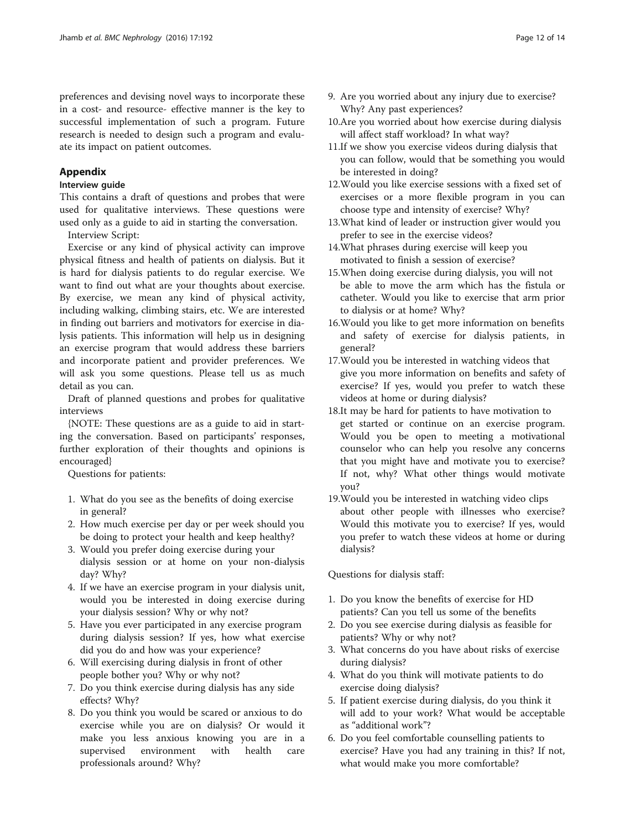## <span id="page-11-0"></span>Appendix

#### Interview guide

This contains a draft of questions and probes that were used for qualitative interviews. These questions were used only as a guide to aid in starting the conversation.

Interview Script:

Exercise or any kind of physical activity can improve physical fitness and health of patients on dialysis. But it is hard for dialysis patients to do regular exercise. We want to find out what are your thoughts about exercise. By exercise, we mean any kind of physical activity, including walking, climbing stairs, etc. We are interested in finding out barriers and motivators for exercise in dialysis patients. This information will help us in designing an exercise program that would address these barriers and incorporate patient and provider preferences. We will ask you some questions. Please tell us as much detail as you can.

Draft of planned questions and probes for qualitative interviews

{NOTE: These questions are as a guide to aid in starting the conversation. Based on participants' responses, further exploration of their thoughts and opinions is encouraged}

Questions for patients:

- 1. What do you see as the benefits of doing exercise in general?
- 2. How much exercise per day or per week should you be doing to protect your health and keep healthy?
- 3. Would you prefer doing exercise during your dialysis session or at home on your non-dialysis day? Why?
- 4. If we have an exercise program in your dialysis unit, would you be interested in doing exercise during your dialysis session? Why or why not?
- 5. Have you ever participated in any exercise program during dialysis session? If yes, how what exercise did you do and how was your experience?
- 6. Will exercising during dialysis in front of other people bother you? Why or why not?
- 7. Do you think exercise during dialysis has any side effects? Why?
- 8. Do you think you would be scared or anxious to do exercise while you are on dialysis? Or would it make you less anxious knowing you are in a supervised environment with health care professionals around? Why?
- 9. Are you worried about any injury due to exercise? Why? Any past experiences?
- 10.Are you worried about how exercise during dialysis will affect staff workload? In what way?
- 11.If we show you exercise videos during dialysis that you can follow, would that be something you would be interested in doing?
- 12.Would you like exercise sessions with a fixed set of exercises or a more flexible program in you can choose type and intensity of exercise? Why?
- 13.What kind of leader or instruction giver would you prefer to see in the exercise videos?
- 14.What phrases during exercise will keep you motivated to finish a session of exercise?
- 15.When doing exercise during dialysis, you will not be able to move the arm which has the fistula or catheter. Would you like to exercise that arm prior to dialysis or at home? Why?
- 16.Would you like to get more information on benefits and safety of exercise for dialysis patients, in general?
- 17.Would you be interested in watching videos that give you more information on benefits and safety of exercise? If yes, would you prefer to watch these videos at home or during dialysis?
- 18.It may be hard for patients to have motivation to get started or continue on an exercise program. Would you be open to meeting a motivational counselor who can help you resolve any concerns that you might have and motivate you to exercise? If not, why? What other things would motivate you?
- 19.Would you be interested in watching video clips about other people with illnesses who exercise? Would this motivate you to exercise? If yes, would you prefer to watch these videos at home or during dialysis?

Questions for dialysis staff:

- 1. Do you know the benefits of exercise for HD patients? Can you tell us some of the benefits
- 2. Do you see exercise during dialysis as feasible for patients? Why or why not?
- 3. What concerns do you have about risks of exercise during dialysis?
- 4. What do you think will motivate patients to do exercise doing dialysis?
- 5. If patient exercise during dialysis, do you think it will add to your work? What would be acceptable as "additional work"?
- 6. Do you feel comfortable counselling patients to exercise? Have you had any training in this? If not, what would make you more comfortable?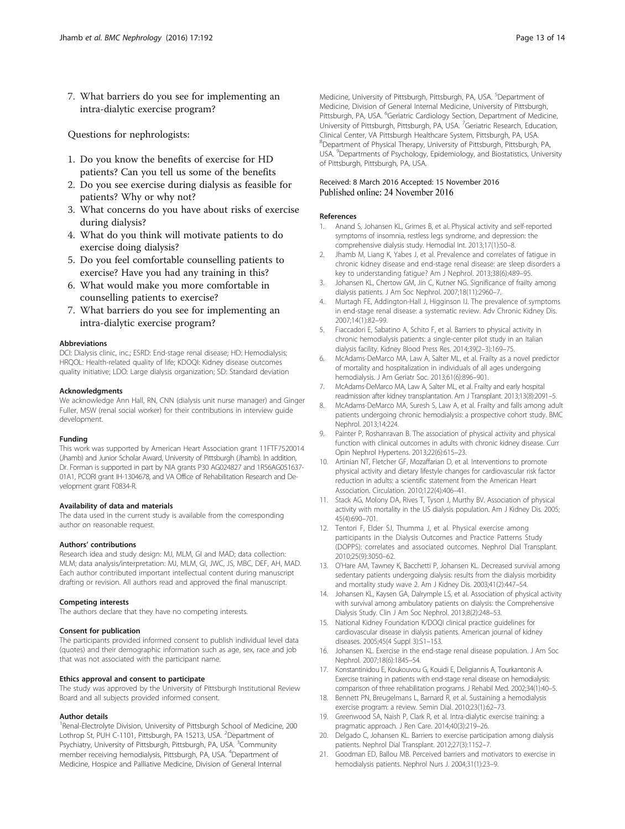<span id="page-12-0"></span>7. What barriers do you see for implementing an intra-dialytic exercise program?

Questions for nephrologists:

- 1. Do you know the benefits of exercise for HD patients? Can you tell us some of the benefits
- 2. Do you see exercise during dialysis as feasible for patients? Why or why not?
- 3. What concerns do you have about risks of exercise during dialysis?
- 4. What do you think will motivate patients to do exercise doing dialysis?
- 5. Do you feel comfortable counselling patients to exercise? Have you had any training in this?
- 6. What would make you more comfortable in counselling patients to exercise?
- 7. What barriers do you see for implementing an intra-dialytic exercise program?

#### Abbreviations

DCI: Dialysis clinic, inc.; ESRD: End-stage renal disease; HD: Hemodialysis; HRQOL: Health-related quality of life; KDOQI: Kidney disease outcomes quality initiative; LDO: Large dialysis organization; SD: Standard deviation

#### Acknowledgments

We acknowledge Ann Hall, RN, CNN (dialysis unit nurse manager) and Ginger Fuller, MSW (renal social worker) for their contributions in interview guide development.

#### Funding

This work was supported by American Heart Association grant 11FTF7520014 (Jhamb) and Junior Scholar Award, University of Pittsburgh (Jhamb). In addition, Dr. Forman is supported in part by NIA grants P30 AG024827 and 1R56AG051637- 01A1, PCORI grant IH-1304678, and VA Office of Rehabilitation Research and Development grant F0834-R.

#### Availability of data and materials

The data used in the current study is available from the corresponding author on reasonable request.

#### Authors' contributions

Research idea and study design: MJ, MLM, GI and MAD; data collection: MLM; data analysis/interpretation: MJ, MLM, GI, JWC, JS, MBC, DEF, AH, MAD. Each author contributed important intellectual content during manuscript drafting or revision. All authors read and approved the final manuscript.

#### Competing interests

The authors declare that they have no competing interests.

#### Consent for publication

The participants provided informed consent to publish individual level data (quotes) and their demographic information such as age, sex, race and job that was not associated with the participant name.

#### Ethics approval and consent to participate

The study was approved by the University of Pittsburgh Institutional Review Board and all subjects provided informed consent.

#### Author details

<sup>1</sup> Renal-Electrolyte Division, University of Pittsburgh School of Medicine, 200 Lothrop St, PUH C-1101, Pittsburgh, PA 15213, USA. <sup>2</sup>Department of Psychiatry, University of Pittsburgh, Pittsburgh, PA, USA. <sup>3</sup>Community member receiving hemodialysis, Pittsburgh, PA, USA. <sup>4</sup>Department of Medicine, Hospice and Palliative Medicine, Division of General Internal

Medicine, University of Pittsburgh, Pittsburgh, PA, USA. <sup>5</sup>Department of Medicine, Division of General Internal Medicine, University of Pittsburgh, Pittsburgh, PA, USA. <sup>6</sup>Geriatric Cardiology Section, Department of Medicine University of Pittsburgh, Pittsburgh, PA, USA. <sup>7</sup> Geriatric Research, Education Clinical Center, VA Pittsburgh Healthcare System, Pittsburgh, PA, USA. 8 Department of Physical Therapy, University of Pittsburgh, Pittsburgh, PA, USA. <sup>9</sup>Departments of Psychology, Epidemiology, and Biostatistics, University of Pittsburgh, Pittsburgh, PA, USA.

#### Received: 8 March 2016 Accepted: 15 November 2016 Published online: 24 November 2016

#### References

- 1. Anand S, Johansen KL, Grimes B, et al. Physical activity and self-reported symptoms of insomnia, restless legs syndrome, and depression: the comprehensive dialysis study. Hemodial Int. 2013;17(1):50–8.
- 2. Jhamb M, Liang K, Yabes J, et al. Prevalence and correlates of fatigue in chronic kidney disease and end-stage renal disease: are sleep disorders a key to understanding fatigue? Am J Nephrol. 2013;38(6):489–95.
- 3. Johansen KL, Chertow GM, Jin C, Kutner NG. Significance of frailty among dialysis patients. J Am Soc Nephrol. 2007;18(11):2960–7.
- 4. Murtagh FE, Addington-Hall J, Higginson IJ. The prevalence of symptoms in end-stage renal disease: a systematic review. Adv Chronic Kidney Dis. 2007;14(1):82–99.
- 5. Fiaccadori E, Sabatino A, Schito F, et al. Barriers to physical activity in chronic hemodialysis patients: a single-center pilot study in an Italian dialysis facility. Kidney Blood Press Res. 2014;39(2–3):169–75.
- 6. McAdams-DeMarco MA, Law A, Salter ML, et al. Frailty as a novel predictor of mortality and hospitalization in individuals of all ages undergoing hemodialysis. J Am Geriatr Soc. 2013;61(6):896–901.
- 7. McAdams-DeMarco MA, Law A, Salter ML, et al. Frailty and early hospital readmission after kidney transplantation. Am J Transplant. 2013;13(8):2091–5.
- 8. McAdams-DeMarco MA, Suresh S, Law A, et al. Frailty and falls among adult patients undergoing chronic hemodialysis: a prospective cohort study. BMC Nephrol. 2013;14:224.
- 9. Painter P, Roshanravan B. The association of physical activity and physical function with clinical outcomes in adults with chronic kidney disease. Curr Opin Nephrol Hypertens. 2013;22(6):615–23.
- 10. Artinian NT, Fletcher GF, Mozaffarian D, et al. Interventions to promote physical activity and dietary lifestyle changes for cardiovascular risk factor reduction in adults: a scientific statement from the American Heart Association. Circulation. 2010;122(4):406–41.
- 11. Stack AG, Molony DA, Rives T, Tyson J, Murthy BV. Association of physical activity with mortality in the US dialysis population. Am J Kidney Dis. 2005; 45(4):690–701.
- 12. Tentori F, Elder SJ, Thumma J, et al. Physical exercise among participants in the Dialysis Outcomes and Practice Patterns Study (DOPPS): correlates and associated outcomes. Nephrol Dial Transplant. 2010;25(9):3050–62.
- 13. O'Hare AM, Tawney K, Bacchetti P, Johansen KL. Decreased survival among sedentary patients undergoing dialysis: results from the dialysis morbidity and mortality study wave 2. Am J Kidney Dis. 2003;41(2):447–54.
- 14. Johansen KL, Kaysen GA, Dalrymple LS, et al. Association of physical activity with survival among ambulatory patients on dialysis: the Comprehensive Dialysis Study. Clin J Am Soc Nephrol. 2013;8(2):248–53.
- 15. National Kidney Foundation K/DOQI clinical practice guidelines for cardiovascular disease in dialysis patients. American journal of kidney diseases. 2005;45(4 Suppl 3):S1–153.
- 16. Johansen KL. Exercise in the end-stage renal disease population. J Am Soc Nephrol. 2007;18(6):1845–54.
- 17. Konstantinidou E, Koukouvou G, Kouidi E, Deligiannis A, Tourkantonis A. Exercise training in patients with end-stage renal disease on hemodialysis: comparison of three rehabilitation programs. J Rehabil Med. 2002;34(1):40–5.
- 18. Bennett PN, Breugelmans L, Barnard R, et al. Sustaining a hemodialysis exercise program: a review. Semin Dial. 2010;23(1):62–73.
- 19. Greenwood SA, Naish P, Clark R, et al. Intra-dialytic exercise training: a pragmatic approach. J Ren Care. 2014;40(3):219–26.
- 20. Delgado C, Johansen KL. Barriers to exercise participation among dialysis patients. Nephrol Dial Transplant. 2012;27(3):1152–7.
- 21. Goodman ED, Ballou MB. Perceived barriers and motivators to exercise in hemodialysis patients. Nephrol Nurs J. 2004;31(1):23–9.